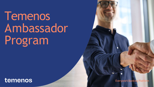Everyone's Banking Platform

# Temenos Ambassador Program

## temenos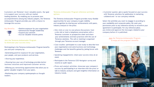

Customers are Temenos' most valuable assets. Our goal is to support your success with our market leading solutions. By enabling you to promote your accomplishments among key industry players, the Temenos Ambassador Program provides you with a chance to leverage this success.

#### Join the Temenos Ambassador Program to showcase your success story

Participating in the Temenos Ambassador Program benefits you and your company by:

•Generating positive exposure for your organisation, your people, and your products and services.

- Sharing your experience.
- Showing how your use of technology provides better business solutions and improved customer service.
- •Offering you networking opportunities that allow you to gather valuable insights from your peers.
- •Positioning your company spokespeople as thought leaders.

#### Temenos Ambassador Program reference activities options

The Temenos Ambassador Program provides many flexible opportunities for your company to gain visibility and recognition by sharing your achievements with peers, industry analysts or the press:

- Site visits or one-to-one phone discussions: host a site visit or hold a telephone conversation with a Temenos customer or prospective client and share your achievements and best practices with the use of Temenos solutions. The call or meeting is organised through your Temenos account manager.
- Case studies: participate in a case study to describe how your organisation overcame business and technology challenges and the benefits gained by joining forces with Temenos.
- Speaking engagements: share your success story at an event.
- Participate in the Temenos CEO Navigator survey and receive an audit report.
- Press and analyst activities: showcase your company's success by participating in an interview with the press or talk to industry analysts and gain insightful information on industry trends.



Join the Temenos Ambassador Program to enjoy all the program's benefits

- Positive exposure for your organisation
- Demonstrate thought leadership
- Expand your network
- Accrue valuable rewards points

#### Key Benefits

• Customer quotes: give a quote focused on your success with Temenos solutions for publication in marketing collateral and / or our company website.

Select the activities you want to engage in according to your availability and corporate policy. We seek your permission prior to any reference activity to reconfirm your agreement to participate. For any reference piece, you review and approve the messages related to your company before it is published.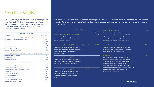#### Rewards you can redeem with your po Temenos Learning Community (TLC) membership - Infinity Temenos Learning Community (TLC) membership - Multifo **Activities** Temenos Community Forum (TCF) entry pass An annual event that brings together banking executives, industry experts, fintechs, partners and Temenos experts and leaders Temenos Learning Community (TLC) membership (all products) A cloud-based, individual one-year subscription service, which delivers 24x7 access to online training and certification to all Temenos products Get more info here A cloud-based, individual one-year subscription service, which delivers 24x7 access to online training and certification for Temenos Infinity product

| nts                    |       | Sandbox "the art of possible"                                                                                                                                                                                                                                                                                            | 2,000 |
|------------------------|-------|--------------------------------------------------------------------------------------------------------------------------------------------------------------------------------------------------------------------------------------------------------------------------------------------------------------------------|-------|
| <b>Points Required</b> |       |                                                                                                                                                                                                                                                                                                                          |       |
|                        | 2,000 | This sandbox offers the capability to trial and test<br>Temenos products, witness their ease and flexibility<br>and make informed buying decisions. It also provides<br>access to the Temenos Banking Cloud service<br>catalogue and the ability to provision a Sandbox                                                  |       |
| ucts)                  | 2,000 | Packaged Service session with an expert                                                                                                                                                                                                                                                                                  | 1,000 |
|                        |       | Thour with an expert to discuss how services can<br>support your future plans, i.e upgrade, performance<br>health, cloud readiness and governance.                                                                                                                                                                       |       |
|                        |       | Outside-In model                                                                                                                                                                                                                                                                                                         | 1,000 |
|                        | 1,400 | The Outside-In is a powerful tool that provides<br>insights into how a particular bank's performance<br>- across certain areas - benchmarks against the<br>bottom, average and top quartile of its peers.<br>Furthermore, it identifies areas where ROI can be<br>maximized and highlights possible paths that customers |       |
| nds                    | 800   | could pursue to become "best in class" - all<br>packaged in a c.20 page report                                                                                                                                                                                                                                           |       |

A cloud-based, individual one-year subscription service, which delivers 24x7 access to online training and certification for Temenos Multifonds products

### Reap the rewards

We understand your time is valuable. To thank you for your time and effort, we have created a valuable reward scheme. For each reference activity you partake in, points are allocated to you upon completion of the activity.

| Points you are earning                          |                      |  |
|-------------------------------------------------|----------------------|--|
| <b>Activities</b>                               | <b>Points earned</b> |  |
| <b>ASSETS and ACTIVITIES</b>                    |                      |  |
| Client quote or short paragraph in brochure     | 500                  |  |
| Case study                                      | 2,000                |  |
| <b>Short video</b>                              | 500                  |  |
| Case study video                                | 1,000                |  |
| Speaking at an event                            | 800                  |  |
| Reference letter or reference details           | 500                  |  |
| <b>Temenos CEO Navigator survey</b>             | 3,000                |  |
| TALKING TO ANOTHER TEMENOS CUSTOMER OR PROSPECT |                      |  |
| Reference meetings at events                    | 500                  |  |
| Reference call                                  | 1,000                |  |
| Reference onsite visit                          | 1,500                |  |
| <b>PR and ANALYSTS</b>                          |                      |  |
| Press meeting or call                           | 1,000                |  |
| Press release (including a quote)               | 1,000                |  |
| Blog creation (including a quote)               | 1,000                |  |
| Article creation to be published in the media   | 2,000                |  |
| <b>Investor call</b>                            | 1,000                |  |
| Analyst meeting or call                         | 1,000                |  |
| Short analyst survey                            | 1,000                |  |
| Long analyst survey                             | 3,000                |  |
| Press Release (without a quote)                 | 500                  |  |
| Blog creation (without a quote)                 |                      |  |

#### Participants have the possibility to redeem points against rewards once they have accumulated the required number of points. Reward points are not refundable. Statements summarising your points balance are emailed to you on a

monthly basis.